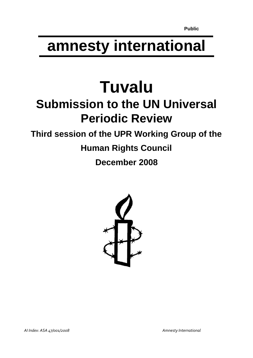# **amnesty international**

# **Tuvalu Submission to the UN Universal Periodic Review**

# **Third session of the UPR Working Group of the**

# **Human Rights Council**

**December 2008**

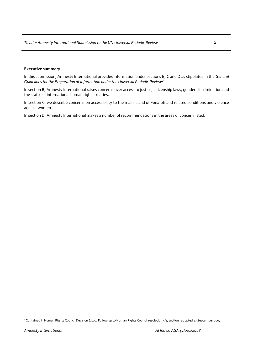## **Executive summary**

In this submission, Amnesty International provides information under sections B, C and D as stipulated in the *General Guidelines for the Preparation of Information under the Universal Periodic Review:*[1](#page-1-0)

In section B, Amnesty International raises concerns over access to justice, citizenship laws, gender discrimination and the status of international human rights treaties.

In section C, we describe concerns on accessibility to the main island of Funafuti and related conditions and violence against women.

In section D, Amnesty International makes a number of recommendations in the areas of concern listed.

 $\overline{a}$ 

<span id="page-1-0"></span><sup>&</sup>lt;sup>1</sup> Contained in Human Rights Council Decision 6/102, Follow-up to Human Rights Council resolution 5/1, section I adopted 27 September 2007.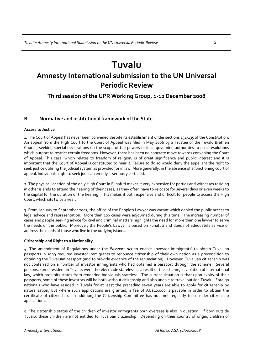# **Tuvalu**

# **Amnesty International submission to the UN Universal Periodic Review**

**Third session of the UPR Working Group, 1‐12 December 2008**

# **B. Normative and institutional framework of the State**

## **Access to Justice**

1. The Court of Appeal has never been convened despite its establishment under sections 134‐135 of the Constitution. An appeal from the High Court to the Court of Appeal was filed in May 2006 by a Trustee of the Tuvalu Brethen Church, seeking special declarations on the scope of the powers of local governing authorities to pass resolutions which purport to restrict certain freedoms. However, there has been no concrete move towards convening the Court of Appeal. This case, which relates to freedom of religion, is of great significance and public interest and it is important that the Court of Appeal is constituted to hear it. Failure to do so would deny the appellant the right to seek justice utilising the judicial system as provided for in law. More generally, in the absence of a functioning court of appeal, individuals' right to seek judicial remedy is seriously curtailed.

2. The physical location of the only High Court in Funafuti makes it very expensive for parties and witnesses residing in other islands to attend the hearing of their cases, as they often have to relocate for several days or even weeks to the capital for the duration of the hearing. This makes it both expensive and difficult for people to access the High Court, which sits twice a year.

3. From January to September 2007, the office of the People's Lawyer was vacant which denied the public access to legal advice and representation. More than 100 cases were adjourned during this time. The increasing number of cases and people seeking advice for civil and criminal matters highlights the need for more than one lawyer to serve the needs of the public. Moreover, the People's Lawyer is based on Funafuti and does not adequately service or address the needs of those who live in the outlying islands.

## **Citizenship and Right to a Nationality**

4. The amendment of Regulations under the *Passport Act* to enable 'Investor Immigrants' to obtain Tuvaluan passports in 1999 required investor immigrants to renounce citizenship of their own nation as a precondition to obtaining the Tuvaluan passport (and to provide evidence of the renunciation). However, Tuvaluan citizenship was not conferred on a number of investor immigrants who had obtained a passport through the scheme. Several persons, some resident in Tuvalu, were thereby made stateless as a result of the scheme, in violation of international law, which prohibits states from rendering individuals stateless. The current situation is that upon expiry of their passports, some of these investors will be both without citizenship and also unable to travel outside Tuvalu. Foreign nationals who have resided in Tuvalu for at least the preceding seven years are able to apply for citizenship by naturalisation, but where such applications are granted, a fee of AU\$10,000 is payable in order to obtain the certificate of citizenship. In addition, the Citizenship Committee has not met regularly to consider citizenship applications.

5. The citizenship status of the children of investor immigrants born overseas is also in question. If born outside Tuvalu, these children are not entitled to Tuvaluan citizenship. Depending on their country of origin, children of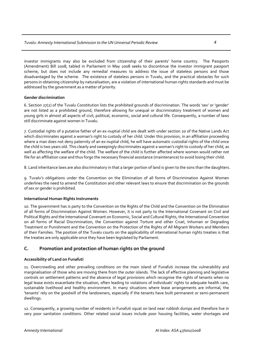investor immigrants may also be excluded from citizenship of their parents' home country. The Passports (Amendment) Bill 2008, tabled in Parliament in May 2008 seeks to discontinue the investor immigrant passport scheme, but does not include any remedial measures to address the issue of stateless persons and those disadvantaged by the scheme. The existence of stateless persons in Tuvalu, and the practical obstacles for such persons in obtaining citizenship by naturalisation, are a violation of international human rights standards and must be addressed by the government as a matter of priority.

# **Gender discrimination**

6. Section 27(2) of the Tuvalu Constitution lists the prohibited grounds of discrimination. The words 'sex' or 'gender' are not listed as a prohibited ground, therefore allowing for unequal or discriminatory treatment of women and young girls in almost all aspects of civil, political, economic, social and cultural life. Consequently, a number of laws still discriminate against women in Tuvalu.

7. Custodial rights of a putative father of an ex‐nuptial child are dealt with under section 20 of the Native Lands Act which discriminates against a woman's right to custody of her child. Under this provision, in an affiliation proceeding where a man does not deny paternity of an ex-nuptial child, he will have automatic custodial rights of the child once the child is two years old. This clearly and sweepingly discriminates against a woman's right to custody of her child, as well as affecting the welfare of the child. The welfare of the child is further affected where women would rather not file for an affiliation case and thus forgo the necessary financial assistance (maintenance) to avoid losing their child.

8. Land inheritance laws are also discriminatory in that a larger portion of land is given to the sons than the daughters.

9. Tuvalu's obligations under the Convention on the Elimination of all forms of Discrimination Against Women underlines the need to amend the Constitution and other relevant laws to ensure that discrimination on the grounds of sex or gender is prohibited.

# **International Human Rights Instruments**

10. The government has is party to the Convention on the Rights of the Child and the Convention on the Elimination of all forms of Discrimination Against Women. However, it is not party to the International Covenant on Civil and Political Rights and the International Covenant on Economic, Social and Cultural Rights, the International Convention on all forms of Racial Discrimination, the Convention against Torture and other Cruel, Inhuman or Degrading Treatment or Punishment and the Convention on the Protection of the Rights of All Migrant Workers and Members of their Families. The position of the Tuvalu courts on the applicability of international human rights treaties is that the treaties are only applicable once they have been legislated by Parliament.

# **C. Promotion and protection of human rights on the ground**

# **Accessibility of Land on Funafuti**

11. Overcrowding and other prevailing conditions on the main island of Funafuti increase the vulnerability and marginalisation of those who are moving there from the outer islands. The lack of effective planning and legislative controls on settlement patterns and the absence of legal provisions which recognise the rights of tenants when no legal lease exists exacerbate the situation, often leading to violations of individuals' rights to adequate health care, sustainable livelihood and healthy environment. In many situations where lease arrangements are informal, the 'tenants' rely on the goodwill of the landowners, especially if the tenants have built permanent or semi‐permanent dwellings.

12. Consequently, a growing number of residents in Funafuti squat on land near rubbish dumps and therefore live in very poor sanitation conditions. Other related social issues include poor housing facilities, water shortages and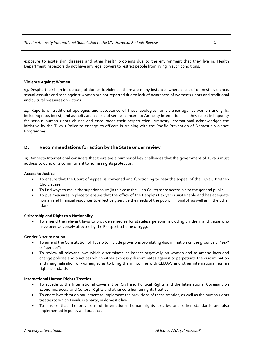exposure to acute skin diseases and other health problems due to the environment that they live in. Health Department Inspectors do not have any legal powers to restrict people from living in such conditions.

## **Violence Against Women**

13. Despite their high incidences, of domestic violence, there are many instances where cases of domestic violence, sexual assaults and rape against women are not reported due to lack of awareness of women's rights and traditional and cultural pressures on victims..

14. Reports of traditional apologies and acceptance of these apologies for violence against women and girls, including rape, incest, and assaults are a cause of serious concern to Amnesty International as they result in impunity for serious human rights abuses and encourages their perpetuation. Amnesty International acknowledges the initiative by the Tuvalu Police to engage its officers in training with the Pacific Prevention of Domestic Violence Programme.

# **D. Recommendations for action by the State under review**

15. Amnesty International considers that there are a number of key challenges that the government of Tuvalu must address to uphold its commitment to human rights protection:

## **Access to Justice**

- To ensure that the Court of Appeal is convened and functioning to hear the appeal of the Tuvalu Brethen Church case
- To find ways to make the superior court (in this case the High Court) more accessible to the general public;
- To put measures in place to ensure that the office of the People's Lawyer is sustainable and has adequate human and financial resources to effectively service the needs of the public in Funafuti as well as in the other islands.

## **Citizenship and Right to a Nationality**

• To amend the relevant laws to provide remedies for stateless persons, including children, and those who have been adversely affected by the Passport scheme of 1999.

## **Gender Discrimination**

- To amend the Constitution of Tuvalu to include provisions prohibiting discrimination on the grounds of "sex" or "gender";
- To review all relevant laws which discriminate or impact negatively on women and to amend laws and change policies and practices which either expressly discriminates against or perpetuate the discrimination and marginalisation of women, so as to bring them into line with CEDAW and other international human rights standards

## **International Human Rights Treaties**

- To accede to the International Covenant on Civil and Political Rights and the International Covenant on Economic, Social and Cultural Rights and other core human rights treaties.
- To enact laws through parliament to implement the provisions of these treaties, as well as the human rights treaties to which Tuvalu is a party, in domestic law.
- To ensure that the provisions of international human rights treaties and other standards are also implemented in policy and practice.